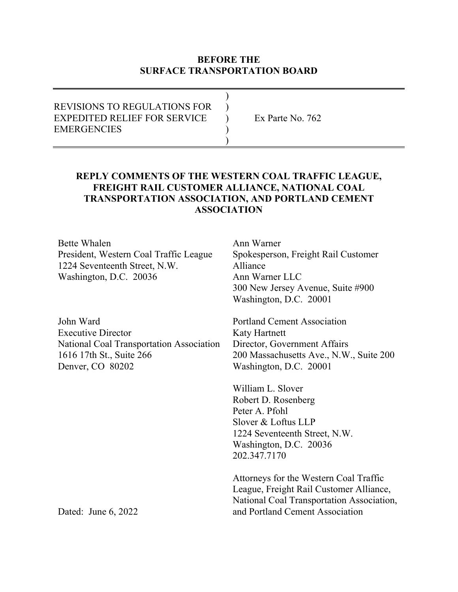### **BEFORE THE SURFACE TRANSPORTATION BOARD**

| <b>REVISIONS TO REGULATIONS FOR</b> |                    |
|-------------------------------------|--------------------|
| <b>EXPEDITED RELIEF FOR SERVICE</b> | Ex Parte No. $762$ |
| <b>EMERGENCIES</b>                  |                    |
|                                     |                    |

## **REPLY COMMENTS OF THE WESTERN COAL TRAFFIC LEAGUE, FREIGHT RAIL CUSTOMER ALLIANCE, NATIONAL COAL TRANSPORTATION ASSOCIATION, AND PORTLAND CEMENT ASSOCIATION**

Bette Whalen President, Western Coal Traffic League 1224 Seventeenth Street, N.W. Washington, D.C. 20036

John Ward Executive Director National Coal Transportation Association 1616 17th St., Suite 266 Denver, CO 80202

Ann Warner Spokesperson, Freight Rail Customer Alliance Ann Warner LLC 300 New Jersey Avenue, Suite #900 Washington, D.C. 20001

Portland Cement Association Katy Hartnett Director, Government Affairs 200 Massachusetts Ave., N.W., Suite 200 Washington, D.C. 20001

William L. Slover Robert D. Rosenberg Peter A. Pfohl Slover & Loftus LLP 1224 Seventeenth Street, N.W. Washington, D.C. 20036 202.347.7170

Attorneys for the Western Coal Traffic League, Freight Rail Customer Alliance, National Coal Transportation Association, and Portland Cement Association

Dated: June 6, 2022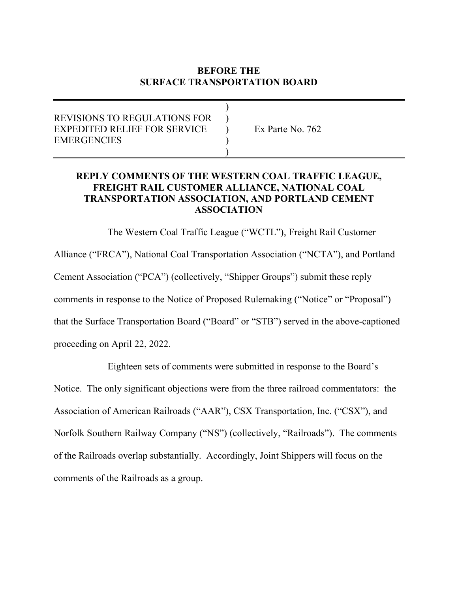# **BEFORE THE SURFACE TRANSPORTATION BOARD**

### ) REVISIONS TO REGULATIONS FOR ) EXPEDITED RELIEF FOR SERVICE ) Ex Parte No. 762 **EMERGENCIES**  $\overline{\phantom{a}}$

## **REPLY COMMENTS OF THE WESTERN COAL TRAFFIC LEAGUE, FREIGHT RAIL CUSTOMER ALLIANCE, NATIONAL COAL TRANSPORTATION ASSOCIATION, AND PORTLAND CEMENT ASSOCIATION**

The Western Coal Traffic League ("WCTL"), Freight Rail Customer Alliance ("FRCA"), National Coal Transportation Association ("NCTA"), and Portland Cement Association ("PCA") (collectively, "Shipper Groups") submit these reply comments in response to the Notice of Proposed Rulemaking ("Notice" or "Proposal") that the Surface Transportation Board ("Board" or "STB") served in the above-captioned proceeding on April 22, 2022.

 Eighteen sets of comments were submitted in response to the Board's Notice. The only significant objections were from the three railroad commentators: the Association of American Railroads ("AAR"), CSX Transportation, Inc. ("CSX"), and Norfolk Southern Railway Company ("NS") (collectively, "Railroads"). The comments of the Railroads overlap substantially. Accordingly, Joint Shippers will focus on the comments of the Railroads as a group.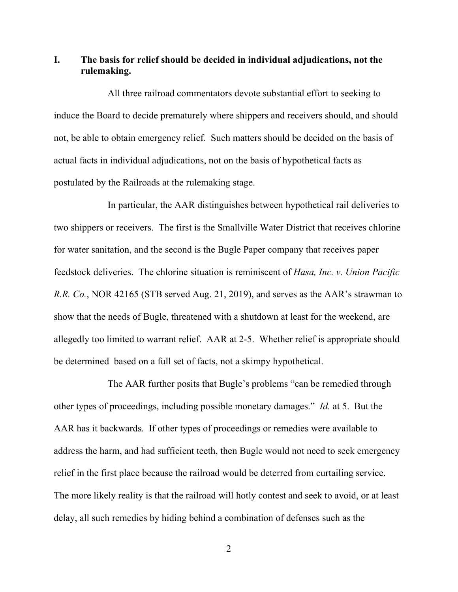**I. The basis for relief should be decided in individual adjudications, not the rulemaking.**

All three railroad commentators devote substantial effort to seeking to induce the Board to decide prematurely where shippers and receivers should, and should not, be able to obtain emergency relief. Such matters should be decided on the basis of actual facts in individual adjudications, not on the basis of hypothetical facts as postulated by the Railroads at the rulemaking stage.

In particular, the AAR distinguishes between hypothetical rail deliveries to two shippers or receivers. The first is the Smallville Water District that receives chlorine for water sanitation, and the second is the Bugle Paper company that receives paper feedstock deliveries. The chlorine situation is reminiscent of *Hasa, Inc. v. Union Pacific R.R. Co.*, NOR 42165 (STB served Aug. 21, 2019), and serves as the AAR's strawman to show that the needs of Bugle, threatened with a shutdown at least for the weekend, are allegedly too limited to warrant relief. AAR at 2-5. Whether relief is appropriate should be determined based on a full set of facts, not a skimpy hypothetical.

The AAR further posits that Bugle's problems "can be remedied through other types of proceedings, including possible monetary damages." *Id.* at 5. But the AAR has it backwards. If other types of proceedings or remedies were available to address the harm, and had sufficient teeth, then Bugle would not need to seek emergency relief in the first place because the railroad would be deterred from curtailing service. The more likely reality is that the railroad will hotly contest and seek to avoid, or at least delay, all such remedies by hiding behind a combination of defenses such as the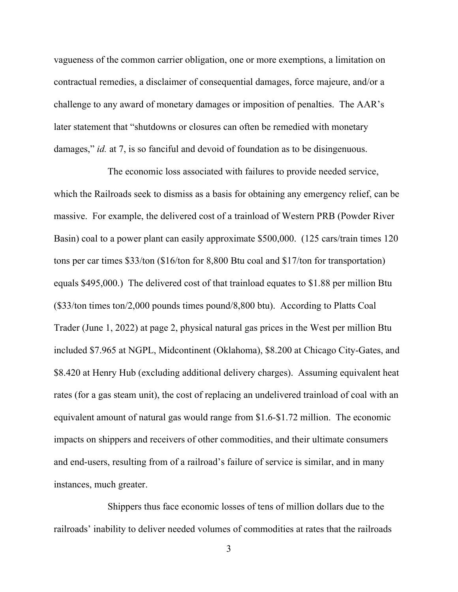vagueness of the common carrier obligation, one or more exemptions, a limitation on contractual remedies, a disclaimer of consequential damages, force majeure, and/or a challenge to any award of monetary damages or imposition of penalties. The AAR's later statement that "shutdowns or closures can often be remedied with monetary damages," *id.* at 7, is so fanciful and devoid of foundation as to be disingenuous.

The economic loss associated with failures to provide needed service, which the Railroads seek to dismiss as a basis for obtaining any emergency relief, can be massive. For example, the delivered cost of a trainload of Western PRB (Powder River Basin) coal to a power plant can easily approximate \$500,000. (125 cars/train times 120 tons per car times \$33/ton (\$16/ton for 8,800 Btu coal and \$17/ton for transportation) equals \$495,000.) The delivered cost of that trainload equates to \$1.88 per million Btu (\$33/ton times ton/2,000 pounds times pound/8,800 btu). According to Platts Coal Trader (June 1, 2022) at page 2, physical natural gas prices in the West per million Btu included \$7.965 at NGPL, Midcontinent (Oklahoma), \$8.200 at Chicago City-Gates, and \$8.420 at Henry Hub (excluding additional delivery charges). Assuming equivalent heat rates (for a gas steam unit), the cost of replacing an undelivered trainload of coal with an equivalent amount of natural gas would range from \$1.6-\$1.72 million. The economic impacts on shippers and receivers of other commodities, and their ultimate consumers and end-users, resulting from of a railroad's failure of service is similar, and in many instances, much greater.

Shippers thus face economic losses of tens of million dollars due to the railroads' inability to deliver needed volumes of commodities at rates that the railroads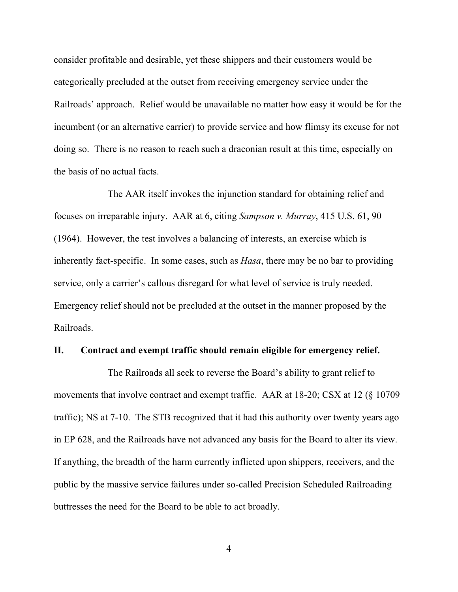consider profitable and desirable, yet these shippers and their customers would be categorically precluded at the outset from receiving emergency service under the Railroads' approach. Relief would be unavailable no matter how easy it would be for the incumbent (or an alternative carrier) to provide service and how flimsy its excuse for not doing so. There is no reason to reach such a draconian result at this time, especially on the basis of no actual facts.

The AAR itself invokes the injunction standard for obtaining relief and focuses on irreparable injury. AAR at 6, citing *Sampson v. Murray*, 415 U.S. 61, 90 (1964). However, the test involves a balancing of interests, an exercise which is inherently fact-specific. In some cases, such as *Hasa*, there may be no bar to providing service, only a carrier's callous disregard for what level of service is truly needed. Emergency relief should not be precluded at the outset in the manner proposed by the Railroads.

#### **II. Contract and exempt traffic should remain eligible for emergency relief.**

The Railroads all seek to reverse the Board's ability to grant relief to movements that involve contract and exempt traffic. AAR at 18-20; CSX at 12 (§ 10709 traffic); NS at 7-10. The STB recognized that it had this authority over twenty years ago in EP 628, and the Railroads have not advanced any basis for the Board to alter its view. If anything, the breadth of the harm currently inflicted upon shippers, receivers, and the public by the massive service failures under so-called Precision Scheduled Railroading buttresses the need for the Board to be able to act broadly.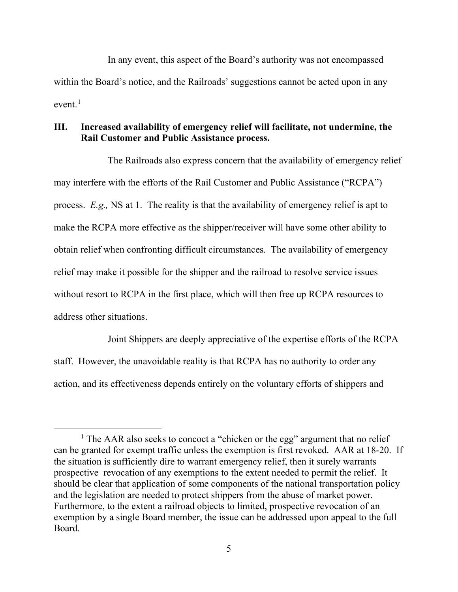In any event, this aspect of the Board's authority was not encompassed within the Board's notice, and the Railroads' suggestions cannot be acted upon in any  $even<sup>1</sup>$  $even<sup>1</sup>$  $even<sup>1</sup>$ 

### **III. Increased availability of emergency relief will facilitate, not undermine, the Rail Customer and Public Assistance process.**

The Railroads also express concern that the availability of emergency relief may interfere with the efforts of the Rail Customer and Public Assistance ("RCPA") process. *E.g.,* NS at 1. The reality is that the availability of emergency relief is apt to make the RCPA more effective as the shipper/receiver will have some other ability to obtain relief when confronting difficult circumstances. The availability of emergency relief may make it possible for the shipper and the railroad to resolve service issues without resort to RCPA in the first place, which will then free up RCPA resources to address other situations.

Joint Shippers are deeply appreciative of the expertise efforts of the RCPA staff. However, the unavoidable reality is that RCPA has no authority to order any action, and its effectiveness depends entirely on the voluntary efforts of shippers and

<span id="page-5-0"></span><sup>&</sup>lt;sup>1</sup> The AAR also seeks to concoct a "chicken or the egg" argument that no relief can be granted for exempt traffic unless the exemption is first revoked. AAR at 18-20. If the situation is sufficiently dire to warrant emergency relief, then it surely warrants prospective revocation of any exemptions to the extent needed to permit the relief. It should be clear that application of some components of the national transportation policy and the legislation are needed to protect shippers from the abuse of market power. Furthermore, to the extent a railroad objects to limited, prospective revocation of an exemption by a single Board member, the issue can be addressed upon appeal to the full Board.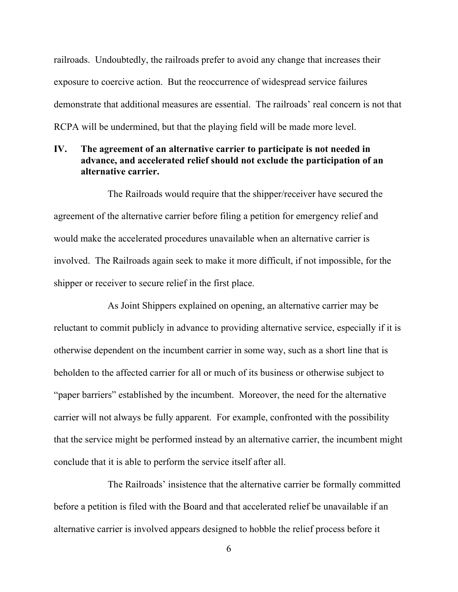railroads. Undoubtedly, the railroads prefer to avoid any change that increases their exposure to coercive action. But the reoccurrence of widespread service failures demonstrate that additional measures are essential. The railroads' real concern is not that RCPA will be undermined, but that the playing field will be made more level.

## **IV. The agreement of an alternative carrier to participate is not needed in advance, and accelerated relief should not exclude the participation of an alternative carrier.**

The Railroads would require that the shipper/receiver have secured the agreement of the alternative carrier before filing a petition for emergency relief and would make the accelerated procedures unavailable when an alternative carrier is involved. The Railroads again seek to make it more difficult, if not impossible, for the shipper or receiver to secure relief in the first place.

As Joint Shippers explained on opening, an alternative carrier may be reluctant to commit publicly in advance to providing alternative service, especially if it is otherwise dependent on the incumbent carrier in some way, such as a short line that is beholden to the affected carrier for all or much of its business or otherwise subject to "paper barriers" established by the incumbent. Moreover, the need for the alternative carrier will not always be fully apparent. For example, confronted with the possibility that the service might be performed instead by an alternative carrier, the incumbent might conclude that it is able to perform the service itself after all.

The Railroads' insistence that the alternative carrier be formally committed before a petition is filed with the Board and that accelerated relief be unavailable if an alternative carrier is involved appears designed to hobble the relief process before it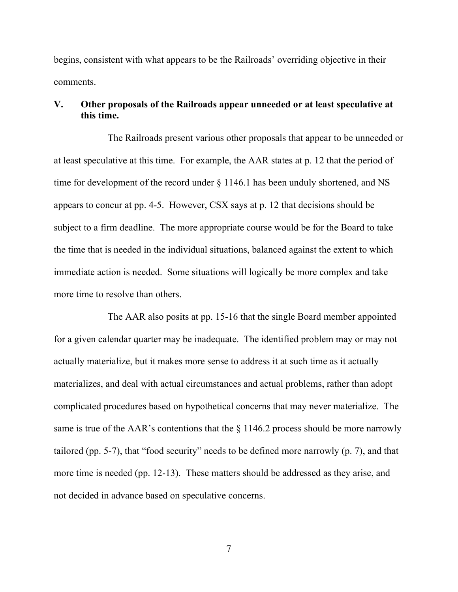begins, consistent with what appears to be the Railroads' overriding objective in their comments.

### **V. Other proposals of the Railroads appear unneeded or at least speculative at this time.**

The Railroads present various other proposals that appear to be unneeded or at least speculative at this time. For example, the AAR states at p. 12 that the period of time for development of the record under § 1146.1 has been unduly shortened, and NS appears to concur at pp. 4-5. However, CSX says at p. 12 that decisions should be subject to a firm deadline. The more appropriate course would be for the Board to take the time that is needed in the individual situations, balanced against the extent to which immediate action is needed. Some situations will logically be more complex and take more time to resolve than others.

The AAR also posits at pp. 15-16 that the single Board member appointed for a given calendar quarter may be inadequate. The identified problem may or may not actually materialize, but it makes more sense to address it at such time as it actually materializes, and deal with actual circumstances and actual problems, rather than adopt complicated procedures based on hypothetical concerns that may never materialize. The same is true of the AAR's contentions that the  $\S 1146.2$  process should be more narrowly tailored (pp. 5-7), that "food security" needs to be defined more narrowly (p. 7), and that more time is needed (pp. 12-13). These matters should be addressed as they arise, and not decided in advance based on speculative concerns.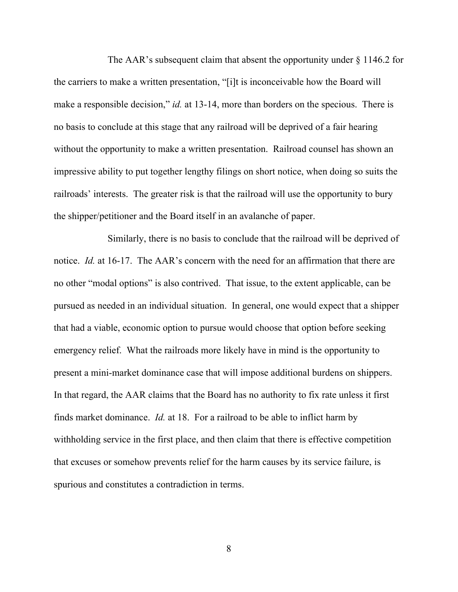The AAR's subsequent claim that absent the opportunity under § 1146.2 for the carriers to make a written presentation, "[i]t is inconceivable how the Board will make a responsible decision," *id.* at 13-14, more than borders on the specious. There is no basis to conclude at this stage that any railroad will be deprived of a fair hearing without the opportunity to make a written presentation. Railroad counsel has shown an impressive ability to put together lengthy filings on short notice, when doing so suits the railroads' interests. The greater risk is that the railroad will use the opportunity to bury the shipper/petitioner and the Board itself in an avalanche of paper.

Similarly, there is no basis to conclude that the railroad will be deprived of notice. *Id.* at 16-17. The AAR's concern with the need for an affirmation that there are no other "modal options" is also contrived. That issue, to the extent applicable, can be pursued as needed in an individual situation. In general, one would expect that a shipper that had a viable, economic option to pursue would choose that option before seeking emergency relief. What the railroads more likely have in mind is the opportunity to present a mini-market dominance case that will impose additional burdens on shippers. In that regard, the AAR claims that the Board has no authority to fix rate unless it first finds market dominance. *Id.* at 18. For a railroad to be able to inflict harm by withholding service in the first place, and then claim that there is effective competition that excuses or somehow prevents relief for the harm causes by its service failure, is spurious and constitutes a contradiction in terms.